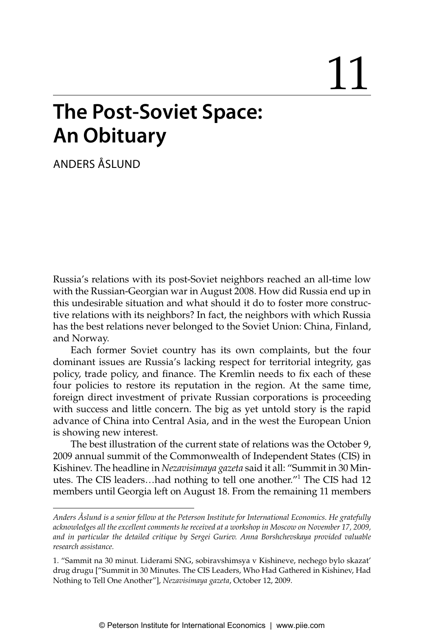# 11

## **The Post-Soviet Space: An Obituary**

### Anders Åslund

Russia's relations with its post-Soviet neighbors reached an all-time low with the Russian-Georgian war in August 2008. How did Russia end up in this undesirable situation and what should it do to foster more constructive relations with its neighbors? In fact, the neighbors with which Russia has the best relations never belonged to the Soviet Union: China, Finland, and Norway.

Each former Soviet country has its own complaints, but the four dominant issues are Russia's lacking respect for territorial integrity, gas policy, trade policy, and finance. The Kremlin needs to fix each of these four policies to restore its reputation in the region. At the same time, foreign direct investment of private Russian corporations is proceeding with success and little concern. The big as yet untold story is the rapid advance of China into Central Asia, and in the west the European Union is showing new interest.

The best illustration of the current state of relations was the October 9, 2009 annual summit of the Commonwealth of Independent States (CIS) in Kishinev. The headline in *Nezavisimaya gazeta* said it all: "Summit in 30 Minutes. The CIS leaders…had nothing to tell one another."1 The CIS had 12 members until Georgia left on August 18. From the remaining 11 members

*Anders Åslund is a senior fellow at the Peterson Institute for International Economics. He gratefully acknowledges all the excellent comments he received at a workshop in Moscow on November 17, 2009, and in particular the detailed critique by Sergei Guriev. Anna Borshchevskaya provided valuable research assistance.*

<sup>1. &</sup>quot;Sammit na 30 minut. Liderami SNG, sobiravshimsya v Kishineve, nechego bylo skazat' drug drugu ["Summit in 30 Minutes. The CIS Leaders, Who Had Gathered in Kishinev, Had Nothing to Tell One Another"], *Nezavisimaya gazeta*, October 12, 2009.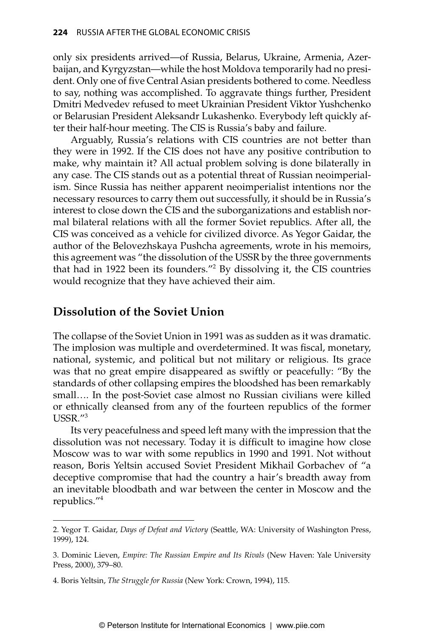only six presidents arrived—of Russia, Belarus, Ukraine, Armenia, Azerbaijan, and Kyrgyzstan—while the host Moldova temporarily had no president. Only one of five Central Asian presidents bothered to come. Needless to say, nothing was accomplished. To aggravate things further, President Dmitri Medvedev refused to meet Ukrainian President Viktor Yushchenko or Belarusian President Aleksandr Lukashenko. Everybody left quickly after their half-hour meeting. The CIS is Russia's baby and failure.

Arguably, Russia's relations with CIS countries are not better than they were in 1992. If the CIS does not have any positive contribution to make, why maintain it? All actual problem solving is done bilaterally in any case. The CIS stands out as a potential threat of Russian neoimperialism. Since Russia has neither apparent neoimperialist intentions nor the necessary resources to carry them out successfully, it should be in Russia's interest to close down the CIS and the suborganizations and establish normal bilateral relations with all the former Soviet republics. After all, the CIS was conceived as a vehicle for civilized divorce. As Yegor Gaidar, the author of the Belovezhskaya Pushcha agreements, wrote in his memoirs, this agreement was "the dissolution of the USSR by the three governments that had in 1922 been its founders."2 By dissolving it, the CIS countries would recognize that they have achieved their aim.

#### **Dissolution of the Soviet Union**

The collapse of the Soviet Union in 1991 was as sudden as it was dramatic. The implosion was multiple and overdetermined. It was fiscal, monetary, national, systemic, and political but not military or religious. Its grace was that no great empire disappeared as swiftly or peacefully: "By the standards of other collapsing empires the bloodshed has been remarkably small…. In the post-Soviet case almost no Russian civilians were killed or ethnically cleansed from any of the fourteen republics of the former USSR."3

Its very peacefulness and speed left many with the impression that the dissolution was not necessary. Today it is difficult to imagine how close Moscow was to war with some republics in 1990 and 1991. Not without reason, Boris Yeltsin accused Soviet President Mikhail Gorbachev of "a deceptive compromise that had the country a hair's breadth away from an inevitable bloodbath and war between the center in Moscow and the republics."4

<sup>2.</sup> Yegor T. Gaidar, *Days of Defeat and Victory* (Seattle, WA: University of Washington Press, 1999), 124.

<sup>3.</sup> Dominic Lieven, *Empire: The Russian Empire and Its Rivals* (New Haven: Yale University Press, 2000), 379–80.

<sup>4.</sup> Boris Yeltsin, *The Struggle for Russia* (New York: Crown, 1994), 115.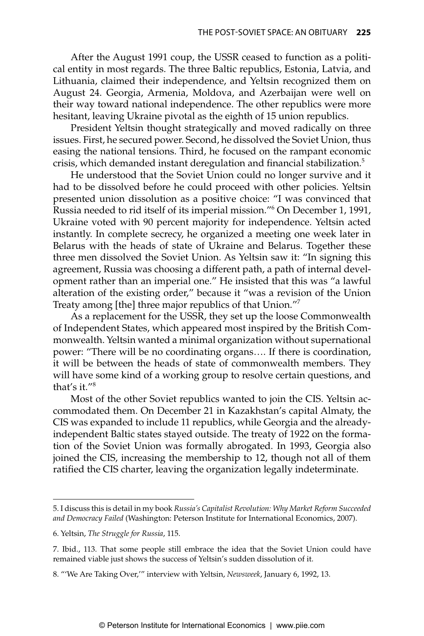After the August 1991 coup, the USSR ceased to function as a political entity in most regards. The three Baltic republics, Estonia, Latvia, and Lithuania, claimed their independence, and Yeltsin recognized them on August 24. Georgia, Armenia, Moldova, and Azerbaijan were well on their way toward national independence. The other republics were more hesitant, leaving Ukraine pivotal as the eighth of 15 union republics.

President Yeltsin thought strategically and moved radically on three issues. First, he secured power. Second, he dissolved the Soviet Union, thus easing the national tensions. Third, he focused on the rampant economic crisis, which demanded instant deregulation and financial stabilization.5

He understood that the Soviet Union could no longer survive and it had to be dissolved before he could proceed with other policies. Yeltsin presented union dissolution as a positive choice: "I was convinced that Russia needed to rid itself of its imperial mission."6 On December 1, 1991, Ukraine voted with 90 percent majority for independence. Yeltsin acted instantly. In complete secrecy, he organized a meeting one week later in Belarus with the heads of state of Ukraine and Belarus. Together these three men dissolved the Soviet Union. As Yeltsin saw it: "In signing this agreement, Russia was choosing a different path, a path of internal development rather than an imperial one." He insisted that this was "a lawful alteration of the existing order," because it "was a revision of the Union Treaty among [the] three major republics of that Union."7

As a replacement for the USSR, they set up the loose Commonwealth of Independent States, which appeared most inspired by the British Commonwealth. Yeltsin wanted a minimal organization without supernational power: "There will be no coordinating organs…. If there is coordination, it will be between the heads of state of commonwealth members. They will have some kind of a working group to resolve certain questions, and that's it."8

Most of the other Soviet republics wanted to join the CIS. Yeltsin accommodated them. On December 21 in Kazakhstan's capital Almaty, the CIS was expanded to include 11 republics, while Georgia and the alreadyindependent Baltic states stayed outside. The treaty of 1922 on the formation of the Soviet Union was formally abrogated. In 1993, Georgia also joined the CIS, increasing the membership to 12, though not all of them ratified the CIS charter, leaving the organization legally indeterminate.

<sup>5.</sup> I discuss this is detail in my book *Russia's Capitalist Revolution: Why Market Reform Succeeded and Democracy Failed* (Washington: Peterson Institute for International Economics, 2007).

<sup>6.</sup> Yeltsin, *The Struggle for Russia*, 115.

<sup>7.</sup> Ibid., 113. That some people still embrace the idea that the Soviet Union could have remained viable just shows the success of Yeltsin's sudden dissolution of it.

<sup>8. &</sup>quot;'We Are Taking Over,'" interview with Yeltsin, *Newsweek*, January 6, 1992, 13.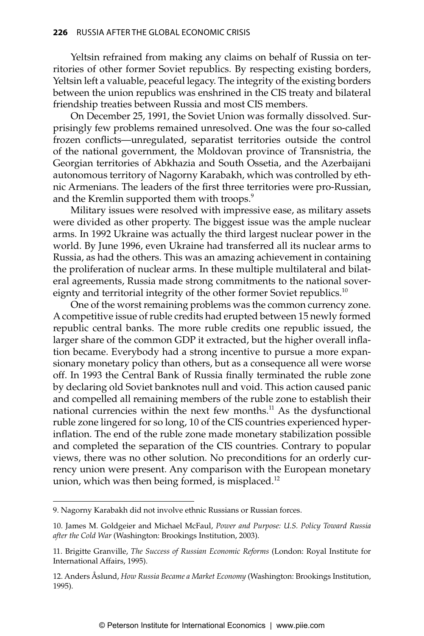Yeltsin refrained from making any claims on behalf of Russia on territories of other former Soviet republics. By respecting existing borders, Yeltsin left a valuable, peaceful legacy. The integrity of the existing borders between the union republics was enshrined in the CIS treaty and bilateral friendship treaties between Russia and most CIS members.

On December 25, 1991, the Soviet Union was formally dissolved. Surprisingly few problems remained unresolved. One was the four so-called frozen conflicts—unregulated, separatist territories outside the control of the national government, the Moldovan province of Transnistria, the Georgian territories of Abkhazia and South Ossetia, and the Azerbaijani autonomous territory of Nagorny Karabakh, which was controlled by ethnic Armenians. The leaders of the first three territories were pro-Russian, and the Kremlin supported them with troops.<sup>9</sup>

Military issues were resolved with impressive ease, as military assets were divided as other property. The biggest issue was the ample nuclear arms. In 1992 Ukraine was actually the third largest nuclear power in the world. By June 1996, even Ukraine had transferred all its nuclear arms to Russia, as had the others. This was an amazing achievement in containing the proliferation of nuclear arms. In these multiple multilateral and bilateral agreements, Russia made strong commitments to the national sovereignty and territorial integrity of the other former Soviet republics.<sup>10</sup>

One of the worst remaining problems was the common currency zone. A competitive issue of ruble credits had erupted between 15 newly formed republic central banks. The more ruble credits one republic issued, the larger share of the common GDP it extracted, but the higher overall inflation became. Everybody had a strong incentive to pursue a more expansionary monetary policy than others, but as a consequence all were worse off. In 1993 the Central Bank of Russia finally terminated the ruble zone by declaring old Soviet banknotes null and void. This action caused panic and compelled all remaining members of the ruble zone to establish their national currencies within the next few months.<sup>11</sup> As the dysfunctional ruble zone lingered for so long, 10 of the CIS countries experienced hyperinflation. The end of the ruble zone made monetary stabilization possible and completed the separation of the CIS countries. Contrary to popular views, there was no other solution. No preconditions for an orderly currency union were present. Any comparison with the European monetary union, which was then being formed, is misplaced.<sup>12</sup>

<sup>9.</sup> Nagorny Karabakh did not involve ethnic Russians or Russian forces.

<sup>10.</sup> James M. Goldgeier and Michael McFaul, *Power and Purpose: U.S. Policy Toward Russia after the Cold War* (Washington: Brookings Institution, 2003).

<sup>11.</sup> Brigitte Granville, *The Success of Russian Economic Reforms* (London: Royal Institute for International Affairs, 1995).

<sup>12.</sup> Anders Åslund, *How Russia Became a Market Economy* (Washington: Brookings Institution, 1995).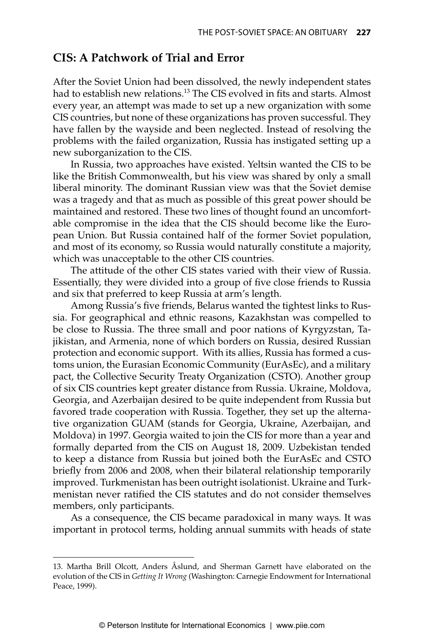#### **CIS: A Patchwork of Trial and Error**

After the Soviet Union had been dissolved, the newly independent states had to establish new relations.<sup>13</sup> The CIS evolved in fits and starts. Almost every year, an attempt was made to set up a new organization with some CIS countries, but none of these organizations has proven successful. They have fallen by the wayside and been neglected. Instead of resolving the problems with the failed organization, Russia has instigated setting up a new suborganization to the CIS.

In Russia, two approaches have existed. Yeltsin wanted the CIS to be like the British Commonwealth, but his view was shared by only a small liberal minority. The dominant Russian view was that the Soviet demise was a tragedy and that as much as possible of this great power should be maintained and restored. These two lines of thought found an uncomfortable compromise in the idea that the CIS should become like the European Union. But Russia contained half of the former Soviet population, and most of its economy, so Russia would naturally constitute a majority, which was unacceptable to the other CIS countries.

The attitude of the other CIS states varied with their view of Russia. Essentially, they were divided into a group of five close friends to Russia and six that preferred to keep Russia at arm's length.

Among Russia's five friends, Belarus wanted the tightest links to Russia. For geographical and ethnic reasons, Kazakhstan was compelled to be close to Russia. The three small and poor nations of Kyrgyzstan, Tajikistan, and Armenia, none of which borders on Russia, desired Russian protection and economic support. With its allies, Russia has formed a customs union, the Eurasian Economic Community (EurAsEc), and a military pact, the Collective Security Treaty Organization (CSTO). Another group of six CIS countries kept greater distance from Russia. Ukraine, Moldova, Georgia, and Azerbaijan desired to be quite independent from Russia but favored trade cooperation with Russia. Together, they set up the alternative organization GUAM (stands for Georgia, Ukraine, Azerbaijan, and Moldova) in 1997. Georgia waited to join the CIS for more than a year and formally departed from the CIS on August 18, 2009. Uzbekistan tended to keep a distance from Russia but joined both the EurAsEc and CSTO briefly from 2006 and 2008, when their bilateral relationship temporarily improved. Turkmenistan has been outright isolationist. Ukraine and Turkmenistan never ratified the CIS statutes and do not consider themselves members, only participants.

As a consequence, the CIS became paradoxical in many ways. It was important in protocol terms, holding annual summits with heads of state

<sup>13.</sup> Martha Brill Olcott, Anders Åslund, and Sherman Garnett have elaborated on the evolution of the CIS in *Getting It Wrong* (Washington: Carnegie Endowment for International Peace, 1999).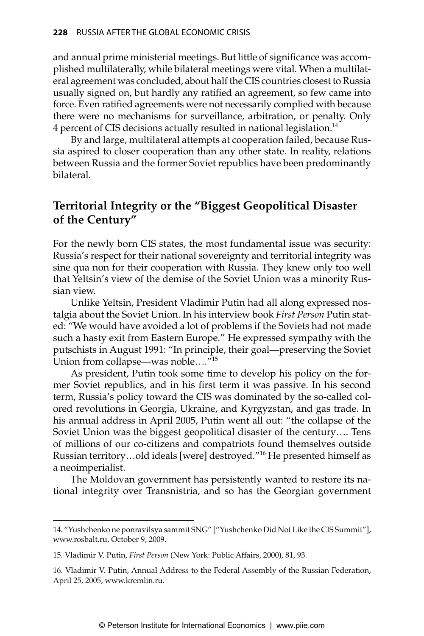and annual prime ministerial meetings. But little of significance was accomplished multilaterally, while bilateral meetings were vital. When a multilateral agreement was concluded, about half the CIS countries closest to Russia usually signed on, but hardly any ratified an agreement, so few came into force. Even ratified agreements were not necessarily complied with because there were no mechanisms for surveillance, arbitration, or penalty. Only 4 percent of CIS decisions actually resulted in national legislation.<sup>14</sup>

By and large, multilateral attempts at cooperation failed, because Russia aspired to closer cooperation than any other state. In reality, relations between Russia and the former Soviet republics have been predominantly bilateral.

#### **Territorial Integrity or the "Biggest Geopolitical Disaster of the Century"**

For the newly born CIS states, the most fundamental issue was security: Russia's respect for their national sovereignty and territorial integrity was sine qua non for their cooperation with Russia. They knew only too well that Yeltsin's view of the demise of the Soviet Union was a minority Russian view.

Unlike Yeltsin, President Vladimir Putin had all along expressed nostalgia about the Soviet Union. In his interview book *First Person* Putin stated: "We would have avoided a lot of problems if the Soviets had not made such a hasty exit from Eastern Europe." He expressed sympathy with the putschists in August 1991: "In principle, their goal—preserving the Soviet Union from collapse—was noble…."15

As president, Putin took some time to develop his policy on the former Soviet republics, and in his first term it was passive. In his second term, Russia's policy toward the CIS was dominated by the so-called colored revolutions in Georgia, Ukraine, and Kyrgyzstan, and gas trade. In his annual address in April 2005, Putin went all out: "the collapse of the Soviet Union was the biggest geopolitical disaster of the century…. Tens of millions of our co-citizens and compatriots found themselves outside Russian territory…old ideals [were] destroyed."16 He presented himself as a neoimperialist.

The Moldovan government has persistently wanted to restore its national integrity over Transnistria, and so has the Georgian government

<sup>14. &</sup>quot;Yushchenko ne ponravilsya sammit SNG" ["Yushchenko Did Not Like the CIS Summit"], www.rosbalt.ru, October 9, 2009.

<sup>15.</sup> Vladimir V. Putin, *First Person* (New York: Public Affairs, 2000), 81, 93.

<sup>16.</sup> Vladimir V. Putin, Annual Address to the Federal Assembly of the Russian Federation, April 25, 2005, www.kremlin.ru.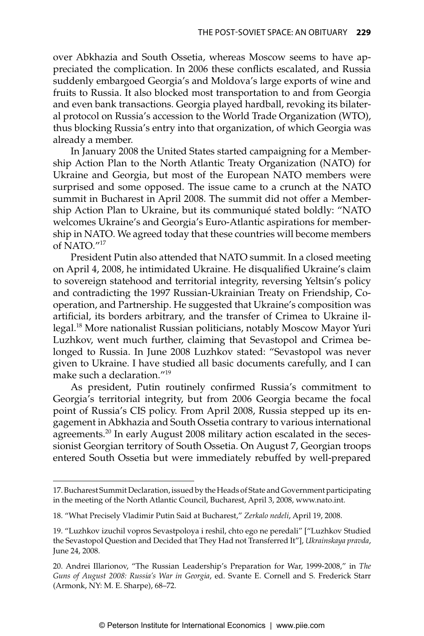over Abkhazia and South Ossetia, whereas Moscow seems to have appreciated the complication. In 2006 these conflicts escalated, and Russia suddenly embargoed Georgia's and Moldova's large exports of wine and fruits to Russia. It also blocked most transportation to and from Georgia and even bank transactions. Georgia played hardball, revoking its bilateral protocol on Russia's accession to the World Trade Organization (WTO), thus blocking Russia's entry into that organization, of which Georgia was already a member.

In January 2008 the United States started campaigning for a Membership Action Plan to the North Atlantic Treaty Organization (NATO) for Ukraine and Georgia, but most of the European NATO members were surprised and some opposed. The issue came to a crunch at the NATO summit in Bucharest in April 2008. The summit did not offer a Membership Action Plan to Ukraine, but its communiqué stated boldly: "NATO welcomes Ukraine's and Georgia's Euro-Atlantic aspirations for membership in NATO. We agreed today that these countries will become members of NATO."17

President Putin also attended that NATO summit. In a closed meeting on April 4, 2008, he intimidated Ukraine. He disqualified Ukraine's claim to sovereign statehood and territorial integrity, reversing Yeltsin's policy and contradicting the 1997 Russian-Ukrainian Treaty on Friendship, Cooperation, and Partnership. He suggested that Ukraine's composition was artificial, its borders arbitrary, and the transfer of Crimea to Ukraine illegal.18 More nationalist Russian politicians, notably Moscow Mayor Yuri Luzhkov, went much further, claiming that Sevastopol and Crimea belonged to Russia. In June 2008 Luzhkov stated: "Sevastopol was never given to Ukraine. I have studied all basic documents carefully, and I can make such a declaration."19

As president, Putin routinely confirmed Russia's commitment to Georgia's territorial integrity, but from 2006 Georgia became the focal point of Russia's CIS policy. From April 2008, Russia stepped up its engagement in Abkhazia and South Ossetia contrary to various international agreements.<sup>20</sup> In early August 2008 military action escalated in the secessionist Georgian territory of South Ossetia. On August 7, Georgian troops entered South Ossetia but were immediately rebuffed by well-prepared

<sup>17.</sup> Bucharest Summit Declaration, issued by the Heads of State and Government participating in the meeting of the North Atlantic Council, Bucharest, April 3, 2008, www.nato.int.

<sup>18. &</sup>quot;What Precisely Vladimir Putin Said at Bucharest," *Zerkalo nedeli*, April 19, 2008.

<sup>19. &</sup>quot;Luzhkov izuchil vopros Sevastpoloya i reshil, chto ego ne peredali" ["Luzhkov Studied the Sevastopol Question and Decided that They Had not Transferred It"], *Ukrainskaya pravda*, June 24, 2008.

<sup>20.</sup> Andrei Illarionov, "The Russian Leadership's Preparation for War, 1999-2008," in *The Guns of August 2008: Russia's War in Georgia*, ed. Svante E. Cornell and S. Frederick Starr (Armonk, NY: M. E. Sharpe), 68–72.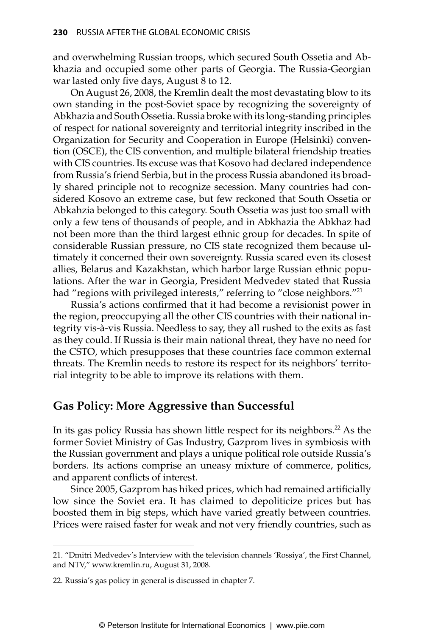and overwhelming Russian troops, which secured South Ossetia and Abkhazia and occupied some other parts of Georgia. The Russia-Georgian war lasted only five days, August 8 to 12.

On August 26, 2008, the Kremlin dealt the most devastating blow to its own standing in the post-Soviet space by recognizing the sovereignty of Abkhazia and South Ossetia. Russia broke with its long-standing principles of respect for national sovereignty and territorial integrity inscribed in the Organization for Security and Cooperation in Europe (Helsinki) convention (OSCE), the CIS convention, and multiple bilateral friendship treaties with CIS countries. Its excuse was that Kosovo had declared independence from Russia's friend Serbia, but in the process Russia abandoned its broadly shared principle not to recognize secession. Many countries had considered Kosovo an extreme case, but few reckoned that South Ossetia or Abkahzia belonged to this category. South Ossetia was just too small with only a few tens of thousands of people, and in Abkhazia the Abkhaz had not been more than the third largest ethnic group for decades. In spite of considerable Russian pressure, no CIS state recognized them because ultimately it concerned their own sovereignty. Russia scared even its closest allies, Belarus and Kazakhstan, which harbor large Russian ethnic populations. After the war in Georgia, President Medvedev stated that Russia had "regions with privileged interests," referring to "close neighbors."<sup>21</sup>

Russia's actions confirmed that it had become a revisionist power in the region, preoccupying all the other CIS countries with their national integrity vis-à-vis Russia. Needless to say, they all rushed to the exits as fast as they could. If Russia is their main national threat, they have no need for the CSTO, which presupposes that these countries face common external threats. The Kremlin needs to restore its respect for its neighbors' territorial integrity to be able to improve its relations with them.

#### **Gas Policy: More Aggressive than Successful**

In its gas policy Russia has shown little respect for its neighbors.<sup>22</sup> As the former Soviet Ministry of Gas Industry, Gazprom lives in symbiosis with the Russian government and plays a unique political role outside Russia's borders. Its actions comprise an uneasy mixture of commerce, politics, and apparent conflicts of interest.

Since 2005, Gazprom has hiked prices, which had remained artificially low since the Soviet era. It has claimed to depoliticize prices but has boosted them in big steps, which have varied greatly between countries. Prices were raised faster for weak and not very friendly countries, such as

<sup>21. &</sup>quot;Dmitri Medvedev's Interview with the television channels 'Rossiya', the First Channel, and NTV," www.kremlin.ru, August 31, 2008.

<sup>22.</sup> Russia's gas policy in general is discussed in chapter 7.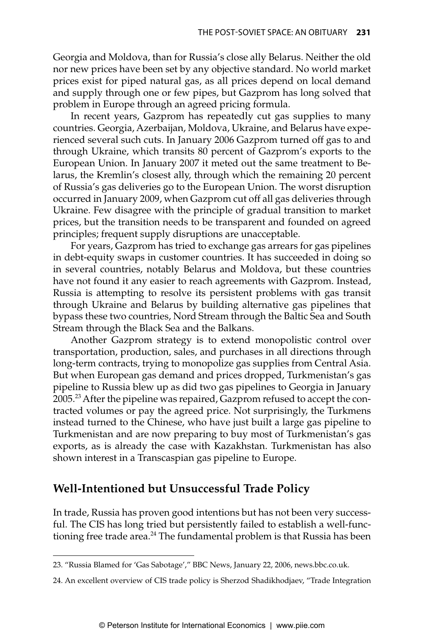Georgia and Moldova, than for Russia's close ally Belarus. Neither the old nor new prices have been set by any objective standard. No world market prices exist for piped natural gas, as all prices depend on local demand and supply through one or few pipes, but Gazprom has long solved that problem in Europe through an agreed pricing formula.

In recent years, Gazprom has repeatedly cut gas supplies to many countries. Georgia, Azerbaijan, Moldova, Ukraine, and Belarus have experienced several such cuts. In January 2006 Gazprom turned off gas to and through Ukraine, which transits 80 percent of Gazprom's exports to the European Union. In January 2007 it meted out the same treatment to Belarus, the Kremlin's closest ally, through which the remaining 20 percent of Russia's gas deliveries go to the European Union. The worst disruption occurred in January 2009, when Gazprom cut off all gas deliveries through Ukraine. Few disagree with the principle of gradual transition to market prices, but the transition needs to be transparent and founded on agreed principles; frequent supply disruptions are unacceptable.

For years, Gazprom has tried to exchange gas arrears for gas pipelines in debt-equity swaps in customer countries. It has succeeded in doing so in several countries, notably Belarus and Moldova, but these countries have not found it any easier to reach agreements with Gazprom. Instead, Russia is attempting to resolve its persistent problems with gas transit through Ukraine and Belarus by building alternative gas pipelines that bypass these two countries, Nord Stream through the Baltic Sea and South Stream through the Black Sea and the Balkans.

Another Gazprom strategy is to extend monopolistic control over transportation, production, sales, and purchases in all directions through long-term contracts, trying to monopolize gas supplies from Central Asia. But when European gas demand and prices dropped, Turkmenistan's gas pipeline to Russia blew up as did two gas pipelines to Georgia in January 2005.<sup>23</sup> After the pipeline was repaired, Gazprom refused to accept the contracted volumes or pay the agreed price. Not surprisingly, the Turkmens instead turned to the Chinese, who have just built a large gas pipeline to Turkmenistan and are now preparing to buy most of Turkmenistan's gas exports, as is already the case with Kazakhstan. Turkmenistan has also shown interest in a Transcaspian gas pipeline to Europe.

#### **Well-Intentioned but Unsuccessful Trade Policy**

In trade, Russia has proven good intentions but has not been very successful. The CIS has long tried but persistently failed to establish a well-functioning free trade area.<sup>24</sup> The fundamental problem is that Russia has been

<sup>23. &</sup>quot;Russia Blamed for 'Gas Sabotage'," BBC News, January 22, 2006, news.bbc.co.uk.

<sup>24.</sup> An excellent overview of CIS trade policy is Sherzod Shadikhodjaev, "Trade Integration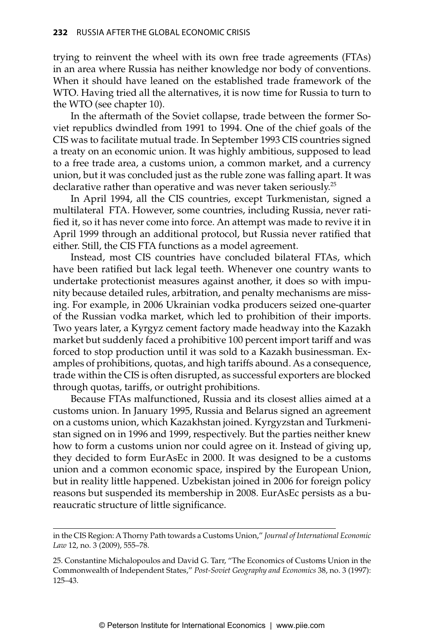trying to reinvent the wheel with its own free trade agreements (FTAs) in an area where Russia has neither knowledge nor body of conventions. When it should have leaned on the established trade framework of the WTO. Having tried all the alternatives, it is now time for Russia to turn to the WTO (see chapter 10).

In the aftermath of the Soviet collapse, trade between the former Soviet republics dwindled from 1991 to 1994. One of the chief goals of the CIS was to facilitate mutual trade. In September 1993 CIS countries signed a treaty on an economic union. It was highly ambitious, supposed to lead to a free trade area, a customs union, a common market, and a currency union, but it was concluded just as the ruble zone was falling apart. It was declarative rather than operative and was never taken seriously.<sup>25</sup>

In April 1994, all the CIS countries, except Turkmenistan, signed a multilateral FTA. However, some countries, including Russia, never ratified it, so it has never come into force. An attempt was made to revive it in April 1999 through an additional protocol, but Russia never ratified that either. Still, the CIS FTA functions as a model agreement.

Instead, most CIS countries have concluded bilateral FTAs, which have been ratified but lack legal teeth. Whenever one country wants to undertake protectionist measures against another, it does so with impunity because detailed rules, arbitration, and penalty mechanisms are missing. For example, in 2006 Ukrainian vodka producers seized one-quarter of the Russian vodka market, which led to prohibition of their imports. Two years later, a Kyrgyz cement factory made headway into the Kazakh market but suddenly faced a prohibitive 100 percent import tariff and was forced to stop production until it was sold to a Kazakh businessman. Examples of prohibitions, quotas, and high tariffs abound. As a consequence, trade within the CIS is often disrupted, as successful exporters are blocked through quotas, tariffs, or outright prohibitions.

Because FTAs malfunctioned, Russia and its closest allies aimed at a customs union. In January 1995, Russia and Belarus signed an agreement on a customs union, which Kazakhstan joined. Kyrgyzstan and Turkmenistan signed on in 1996 and 1999, respectively. But the parties neither knew how to form a customs union nor could agree on it. Instead of giving up, they decided to form EurAsEc in 2000. It was designed to be a customs union and a common economic space, inspired by the European Union, but in reality little happened. Uzbekistan joined in 2006 for foreign policy reasons but suspended its membership in 2008. EurAsEc persists as a bureaucratic structure of little significance.

in the CIS Region: A Thorny Path towards a Customs Union," *Journal of International Economic Law* 12, no. 3 (2009), 555–78.

<sup>25.</sup> Constantine Michalopoulos and David G. Tarr, "The Economics of Customs Union in the Commonwealth of Independent States," *Post-Soviet Geography and Economics* 38, no. 3 (1997): 125–43.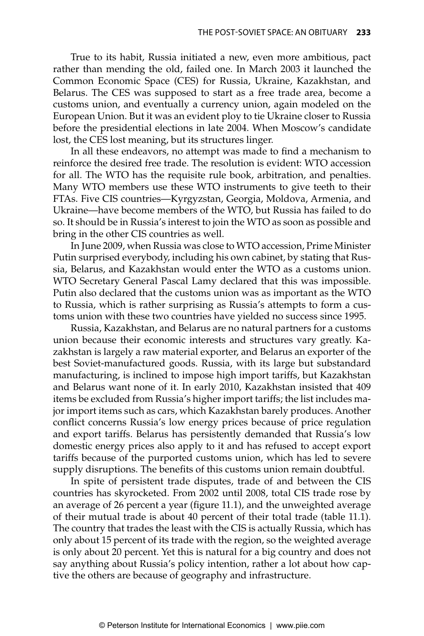True to its habit, Russia initiated a new, even more ambitious, pact rather than mending the old, failed one. In March 2003 it launched the Common Economic Space (CES) for Russia, Ukraine, Kazakhstan, and Belarus. The CES was supposed to start as a free trade area, become a customs union, and eventually a currency union, again modeled on the European Union. But it was an evident ploy to tie Ukraine closer to Russia before the presidential elections in late 2004. When Moscow's candidate lost, the CES lost meaning, but its structures linger.

In all these endeavors, no attempt was made to find a mechanism to reinforce the desired free trade. The resolution is evident: WTO accession for all. The WTO has the requisite rule book, arbitration, and penalties. Many WTO members use these WTO instruments to give teeth to their FTAs. Five CIS countries—Kyrgyzstan, Georgia, Moldova, Armenia, and Ukraine—have become members of the WTO, but Russia has failed to do so. It should be in Russia's interest to join the WTO as soon as possible and bring in the other CIS countries as well.

In June 2009, when Russia was close to WTO accession, Prime Minister Putin surprised everybody, including his own cabinet, by stating that Russia, Belarus, and Kazakhstan would enter the WTO as a customs union. WTO Secretary General Pascal Lamy declared that this was impossible. Putin also declared that the customs union was as important as the WTO to Russia, which is rather surprising as Russia's attempts to form a customs union with these two countries have yielded no success since 1995.

Russia, Kazakhstan, and Belarus are no natural partners for a customs union because their economic interests and structures vary greatly. Kazakhstan is largely a raw material exporter, and Belarus an exporter of the best Soviet-manufactured goods. Russia, with its large but substandard manufacturing, is inclined to impose high import tariffs, but Kazakhstan and Belarus want none of it. In early 2010, Kazakhstan insisted that 409 items be excluded from Russia's higher import tariffs; the list includes major import items such as cars, which Kazakhstan barely produces. Another conflict concerns Russia's low energy prices because of price regulation and export tariffs. Belarus has persistently demanded that Russia's low domestic energy prices also apply to it and has refused to accept export tariffs because of the purported customs union, which has led to severe supply disruptions. The benefits of this customs union remain doubtful.

In spite of persistent trade disputes, trade of and between the CIS countries has skyrocketed. From 2002 until 2008, total CIS trade rose by an average of 26 percent a year (figure 11.1), and the unweighted average of their mutual trade is about 40 percent of their total trade (table 11.1). The country that trades the least with the CIS is actually Russia, which has only about 15 percent of its trade with the region, so the weighted average is only about 20 percent. Yet this is natural for a big country and does not say anything about Russia's policy intention, rather a lot about how captive the others are because of geography and infrastructure.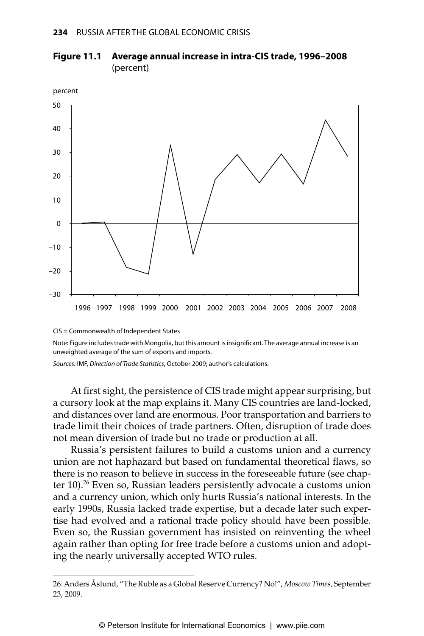

**Figure 11.1 Average annual increase in intra-CIS trade, 1996–2008**  (percent)

Cis = Commonwealth of independent states

Note: figure includes trade with Mongolia, but this amount is insignificant. the average annual increase is an unweighted average of the sum of exports and imports.

*Sources:* iMf, *Direction of Trade Statistics*, October 2009; author's calculations.

At first sight, the persistence of CIS trade might appear surprising, but a cursory look at the map explains it. Many CIS countries are land-locked, and distances over land are enormous. Poor transportation and barriers to trade limit their choices of trade partners. Often, disruption of trade does not mean diversion of trade but no trade or production at all.

Russia's persistent failures to build a customs union and a currency union are not haphazard but based on fundamental theoretical flaws, so there is no reason to believe in success in the foreseeable future (see chapter 10).<sup>26</sup> Even so, Russian leaders persistently advocate a customs union and a currency union, which only hurts Russia's national interests. In the early 1990s, Russia lacked trade expertise, but a decade later such expertise had evolved and a rational trade policy should have been possible. Even so, the Russian government has insisted on reinventing the wheel again rather than opting for free trade before a customs union and adopting the nearly universally accepted WTO rules.

<sup>26.</sup> Anders Åslund, "The Ruble as a Global Reserve Currency? No!", *Moscow Times,* September 23, 2009.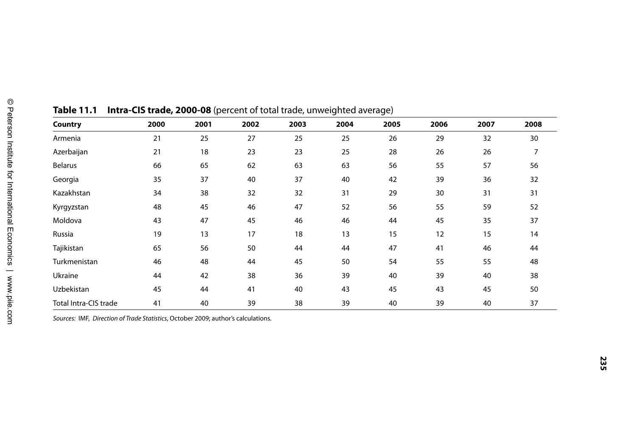| Country                      | 2000 | 2001 | 2002 | 2003 | 2004 | 2005 | 2006 | 2007 | 2008 |
|------------------------------|------|------|------|------|------|------|------|------|------|
| Armenia                      | 21   | 25   | 27   | 25   | 25   | 26   | 29   | 32   | 30   |
| Azerbaijan                   | 21   | 18   | 23   | 23   | 25   | 28   | 26   | 26   | 7    |
| <b>Belarus</b>               | 66   | 65   | 62   | 63   | 63   | 56   | 55   | 57   | 56   |
| Georgia                      | 35   | 37   | 40   | 37   | 40   | 42   | 39   | 36   | 32   |
| Kazakhstan                   | 34   | 38   | 32   | 32   | 31   | 29   | 30   | 31   | 31   |
| Kyrgyzstan                   | 48   | 45   | 46   | 47   | 52   | 56   | 55   | 59   | 52   |
| Moldova                      | 43   | 47   | 45   | 46   | 46   | 44   | 45   | 35   | 37   |
| Russia                       | 19   | 13   | 17   | 18   | 13   | 15   | 12   | 15   | 14   |
| Tajikistan                   | 65   | 56   | 50   | 44   | 44   | 47   | 41   | 46   | 44   |
| Turkmenistan                 | 46   | 48   | 44   | 45   | 50   | 54   | 55   | 55   | 48   |
| Ukraine                      | 44   | 42   | 38   | 36   | 39   | 40   | 39   | 40   | 38   |
| Uzbekistan                   | 45   | 44   | 41   | 40   | 43   | 45   | 43   | 45   | 50   |
| <b>Total Intra-CIS trade</b> | 41   | 40   | 39   | 38   | 39   | 40   | 39   | 40   | 37   |

| Table 11.1 Intra-CIS trade, 2000-08 (percent of total trade, unweighted average) |  |  |
|----------------------------------------------------------------------------------|--|--|
|                                                                                  |  |  |

*Sources:* IMF, *Direction of Trade Statistics*, October 2009; author's calculations.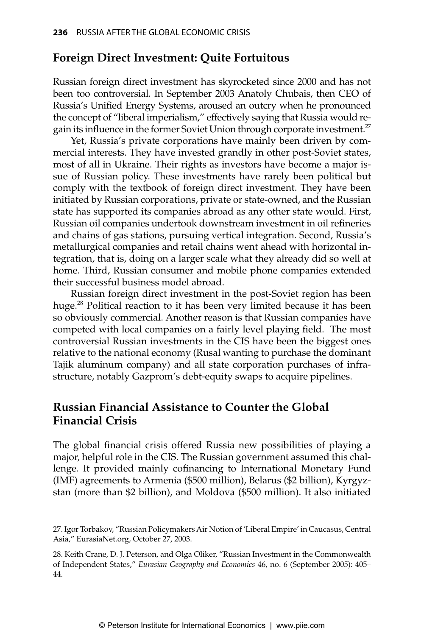#### **Foreign Direct Investment: Quite Fortuitous**

Russian foreign direct investment has skyrocketed since 2000 and has not been too controversial. In September 2003 Anatoly Chubais, then CEO of Russia's Unified Energy Systems, aroused an outcry when he pronounced the concept of "liberal imperialism," effectively saying that Russia would regain its influence in the former Soviet Union through corporate investment.<sup>27</sup>

Yet, Russia's private corporations have mainly been driven by commercial interests. They have invested grandly in other post-Soviet states, most of all in Ukraine. Their rights as investors have become a major issue of Russian policy. These investments have rarely been political but comply with the textbook of foreign direct investment. They have been initiated by Russian corporations, private or state-owned, and the Russian state has supported its companies abroad as any other state would. First, Russian oil companies undertook downstream investment in oil refineries and chains of gas stations, pursuing vertical integration. Second, Russia's metallurgical companies and retail chains went ahead with horizontal integration, that is, doing on a larger scale what they already did so well at home. Third, Russian consumer and mobile phone companies extended their successful business model abroad.

Russian foreign direct investment in the post-Soviet region has been huge.<sup>28</sup> Political reaction to it has been very limited because it has been so obviously commercial. Another reason is that Russian companies have competed with local companies on a fairly level playing field. The most controversial Russian investments in the CIS have been the biggest ones relative to the national economy (Rusal wanting to purchase the dominant Tajik aluminum company) and all state corporation purchases of infrastructure, notably Gazprom's debt-equity swaps to acquire pipelines.

#### **Russian Financial Assistance to Counter the Global Financial Crisis**

The global financial crisis offered Russia new possibilities of playing a major, helpful role in the CIS. The Russian government assumed this challenge. It provided mainly cofinancing to International Monetary Fund (IMF) agreements to Armenia (\$500 million), Belarus (\$2 billion), Kyrgyzstan (more than \$2 billion), and Moldova (\$500 million). It also initiated

<sup>27.</sup> Igor Torbakov, "Russian Policymakers Air Notion of 'Liberal Empire' in Caucasus, Central Asia," EurasiaNet.org, October 27, 2003.

<sup>28.</sup> Keith Crane, D. J. Peterson, and Olga Oliker, "Russian Investment in the Commonwealth of Independent States," *Eurasian Geography and Economics* 46, no. 6 (September 2005): 405– 44.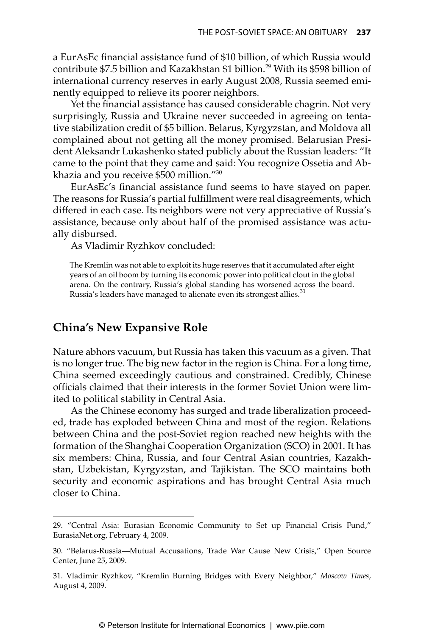a EurAsEc financial assistance fund of \$10 billion, of which Russia would contribute \$7.5 billion and Kazakhstan \$1 billion.<sup>29</sup> With its \$598 billion of international currency reserves in early August 2008, Russia seemed eminently equipped to relieve its poorer neighbors.

Yet the financial assistance has caused considerable chagrin. Not very surprisingly, Russia and Ukraine never succeeded in agreeing on tentative stabilization credit of \$5 billion. Belarus, Kyrgyzstan, and Moldova all complained about not getting all the money promised. Belarusian President Aleksandr Lukashenko stated publicly about the Russian leaders: "It came to the point that they came and said: You recognize Ossetia and Abkhazia and you receive \$500 million."30

EurAsEc's financial assistance fund seems to have stayed on paper. The reasons for Russia's partial fulfillment were real disagreements, which differed in each case. Its neighbors were not very appreciative of Russia's assistance, because only about half of the promised assistance was actually disbursed.

As Vladimir Ryzhkov concluded:

The Kremlin was not able to exploit its huge reserves that it accumulated after eight years of an oil boom by turning its economic power into political clout in the global arena. On the contrary, Russia's global standing has worsened across the board. Russia's leaders have managed to alienate even its strongest allies.<sup>31</sup>

#### **China's New Expansive Role**

Nature abhors vacuum, but Russia has taken this vacuum as a given. That is no longer true. The big new factor in the region is China. For a long time, China seemed exceedingly cautious and constrained. Credibly, Chinese officials claimed that their interests in the former Soviet Union were limited to political stability in Central Asia.

As the Chinese economy has surged and trade liberalization proceeded, trade has exploded between China and most of the region. Relations between China and the post-Soviet region reached new heights with the formation of the Shanghai Cooperation Organization (SCO) in 2001. It has six members: China, Russia, and four Central Asian countries, Kazakhstan, Uzbekistan, Kyrgyzstan, and Tajikistan. The SCO maintains both security and economic aspirations and has brought Central Asia much closer to China.

<sup>29. &</sup>quot;Central Asia: Eurasian Economic Community to Set up Financial Crisis Fund," EurasiaNet.org, February 4, 2009.

<sup>30. &</sup>quot;Belarus-Russia—Mutual Accusations, Trade War Cause New Crisis," Open Source Center, June 25, 2009.

<sup>31.</sup> Vladimir Ryzhkov, "Kremlin Burning Bridges with Every Neighbor," *Moscow Times*, August 4, 2009.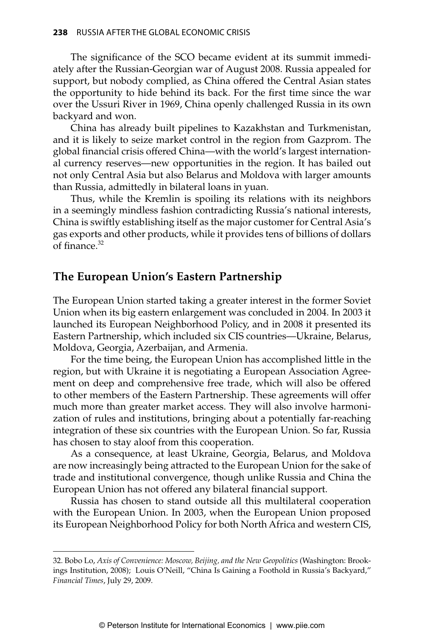The significance of the SCO became evident at its summit immediately after the Russian-Georgian war of August 2008. Russia appealed for support, but nobody complied, as China offered the Central Asian states the opportunity to hide behind its back. For the first time since the war over the Ussuri River in 1969, China openly challenged Russia in its own backyard and won.

China has already built pipelines to Kazakhstan and Turkmenistan, and it is likely to seize market control in the region from Gazprom. The global financial crisis offered China—with the world's largest international currency reserves—new opportunities in the region. It has bailed out not only Central Asia but also Belarus and Moldova with larger amounts than Russia, admittedly in bilateral loans in yuan.

Thus, while the Kremlin is spoiling its relations with its neighbors in a seemingly mindless fashion contradicting Russia's national interests, China is swiftly establishing itself as the major customer for Central Asia's gas exports and other products, while it provides tens of billions of dollars of finance.<sup>32</sup>

#### **The European Union's Eastern Partnership**

The European Union started taking a greater interest in the former Soviet Union when its big eastern enlargement was concluded in 2004. In 2003 it launched its European Neighborhood Policy, and in 2008 it presented its Eastern Partnership, which included six CIS countries—Ukraine, Belarus, Moldova, Georgia, Azerbaijan, and Armenia.

For the time being, the European Union has accomplished little in the region, but with Ukraine it is negotiating a European Association Agreement on deep and comprehensive free trade, which will also be offered to other members of the Eastern Partnership. These agreements will offer much more than greater market access. They will also involve harmonization of rules and institutions, bringing about a potentially far-reaching integration of these six countries with the European Union. So far, Russia has chosen to stay aloof from this cooperation.

As a consequence, at least Ukraine, Georgia, Belarus, and Moldova are now increasingly being attracted to the European Union for the sake of trade and institutional convergence, though unlike Russia and China the European Union has not offered any bilateral financial support.

Russia has chosen to stand outside all this multilateral cooperation with the European Union. In 2003, when the European Union proposed its European Neighborhood Policy for both North Africa and western CIS,

<sup>32.</sup> Bobo Lo, *Axis of Convenience: Moscow, Beijing, and the New Geopolitics* (Washington: Brookings Institution, 2008); Louis O'Neill, "China Is Gaining a Foothold in Russia's Backyard," *Financial Times*, July 29, 2009.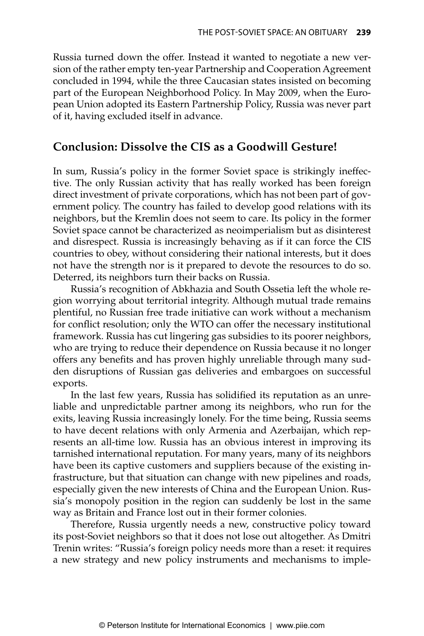Russia turned down the offer. Instead it wanted to negotiate a new version of the rather empty ten-year Partnership and Cooperation Agreement concluded in 1994, while the three Caucasian states insisted on becoming part of the European Neighborhood Policy. In May 2009, when the European Union adopted its Eastern Partnership Policy, Russia was never part of it, having excluded itself in advance.

#### **Conclusion: Dissolve the CIS as a Goodwill Gesture!**

In sum, Russia's policy in the former Soviet space is strikingly ineffective. The only Russian activity that has really worked has been foreign direct investment of private corporations, which has not been part of government policy. The country has failed to develop good relations with its neighbors, but the Kremlin does not seem to care. Its policy in the former Soviet space cannot be characterized as neoimperialism but as disinterest and disrespect. Russia is increasingly behaving as if it can force the CIS countries to obey, without considering their national interests, but it does not have the strength nor is it prepared to devote the resources to do so. Deterred, its neighbors turn their backs on Russia.

Russia's recognition of Abkhazia and South Ossetia left the whole region worrying about territorial integrity. Although mutual trade remains plentiful, no Russian free trade initiative can work without a mechanism for conflict resolution; only the WTO can offer the necessary institutional framework. Russia has cut lingering gas subsidies to its poorer neighbors, who are trying to reduce their dependence on Russia because it no longer offers any benefits and has proven highly unreliable through many sudden disruptions of Russian gas deliveries and embargoes on successful exports.

In the last few years, Russia has solidified its reputation as an unreliable and unpredictable partner among its neighbors, who run for the exits, leaving Russia increasingly lonely. For the time being, Russia seems to have decent relations with only Armenia and Azerbaijan, which represents an all-time low. Russia has an obvious interest in improving its tarnished international reputation. For many years, many of its neighbors have been its captive customers and suppliers because of the existing infrastructure, but that situation can change with new pipelines and roads, especially given the new interests of China and the European Union. Russia's monopoly position in the region can suddenly be lost in the same way as Britain and France lost out in their former colonies.

Therefore, Russia urgently needs a new, constructive policy toward its post-Soviet neighbors so that it does not lose out altogether. As Dmitri Trenin writes: "Russia's foreign policy needs more than a reset: it requires a new strategy and new policy instruments and mechanisms to imple